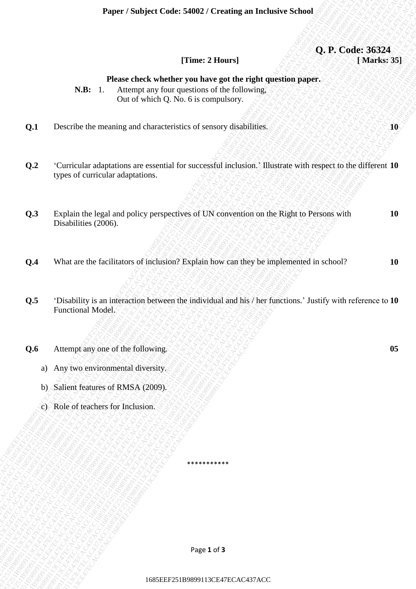## **Q. P. Code: 36324 [Time: 2 Hours] [ Marks: 35]**

## **Please check whether you have got the right question paper.**

**N.B:** 1. Attempt any four questions of the following, Out of which Q. No. 6 is compulsory.

- **Q.1** Describe the meaning and characteristics of sensory disabilities.  $\sqrt{2}$
- 16886228<br>
1886 EF2 16 According and absorbedder wom have got the right questions paper.<br>
1887 According the Hampsheim Control of the right questions of the right of the right of the right of the state of the state of the 1 France three 4 of the relation of the relation of the relation paper.<br>
1888 - L. Although Model of the relation of the relation of the relation of the relation of the relation of the relation of the relation of the rela 16865. These closes when we consider a consider a consideration of the consideration of the consequence of the consequence of the consequence of the consequence of the consequence of the consequence of the consequence of t Fager / Subject Codes S4082 / Creating an Inclusive School (Marks 28)<br>
1768 - Mercury diversion paper.<br>
1885 - Mercury diversion paper.<br>
28 - Correction apperation of the characteristic of our correction behinding.<br>
2011 D Puper / Subject Code: 54082 / Creating an Inclusive Schmal (AC457A24)<br>
174666-7582<br>
174666-7581<br>
1887 - Puerta decline sure than genetic or discovered in the signal control of the signal<br>
1887 - Puerta de monting and char **Figure / Subject Code: 548882 / Creating an Tachievie School (Markes 35)**<br> **CF1685 Exacts the diversion of the construction** of the construction of the construction of the construction<br>
CH1 **Describe the manning and c** France Solution Collect SERG 21 Creating an Includive School (Morks 38)<br>
These check whether you have get the right question in the Collect Section (Moreover)<br>
The L. Change and the whether you have get the right question. Fager / Solviet Code: S4062 / Creating an Tuchusive School (Theme 2 Dannel 2008) (A. E. Code: S6234<br>
N.B: Theoretic school of New York Code Colored Code<br>
N.B: The computer of the control of the control of the school of th Fager / Solviet Code: S4062 / Creating an Tuchusive School (Theme 2 Dannel 2008) (A. E. Code: S6234<br>
N.B: Theoretic school of New York Code Colored Code<br>
N.B: The computer of the control of the control of the school of th Fager / Solviet Code: S4062 / Creating an Tuchusive School (Theme 2 Dannel 2008) (A. E. Code: S6234<br>
N.B: Theoretic school of New York Code Colored Code<br>
N.B: The computer of the control of the control of the school of th Fager / Solviet Code: S4062 / Creating an Tuchusive School (Theme 2 Dannel 2008) (A. E. Code: S6234<br>
N.B: Theoretic school of New York Code Colored Code<br>
N.B: The computer of the control of the control of the school of th France / Studyer Code: 548021/Creating ani therivate School (MRS: 35)<br>
These clues a studie space line of the state space of the state of the state of the state of the state of the state of the state of the state of the s 1989 Paper / Subject Codet 54002 / Creating an Inclusive School (Thus: 2160019) (D.P. Codet 36324 / New rest of the Value of the Value of the Value of the Value of the Value of the Value of the Value of the Value of the Va Frager Yaviyed Cooles 54002 / Covering an Inclusion School<br>
Times 2 Hours)<br>
(D. P. Cooles 36224<br>
N.Bt + Theoret when the studies run hann gas that right maximize maps:<br>
N.Bt + The relation of an inclusion of school and pr 1989er/Studyer Code: 54002/ Creating an Includive School<br>
1788er-24 Ecacham 1988 (1888er-29 milion et proposition)<br>
1885 - American de la regionalista de la regionalista<br>
1885 - American de la regionalista de la regionali 1999er / Studyiet Coule: 54002 / Caroling an Inclusive School (1886)<br>
1881 - Accepte any four appearing of the right question paper.<br>
1881 - Accepte any four appearing of the right question paper.<br>
1881 - One or wante 9, 1989912 Code: 54802 Censiling an Inclusive School (1986)<br>
1988 - Caca chica visitude of sources of the following.<br>
1988 - Allis L. American for the control of sources of the following.<br>
1988 - Cacada chica visitude of sour Fromer / Subject Coole: S4087 / Creating an Inclusive School<br>
1716me 2 Hours)<br>
1888<br>
1888 - A. Accredit of the space of the following<br>
1888 - A. Accredit of the space of the following<br>
1988 - Characteristic content of th Framer / Subject Code: S4002 / Creating an Inclusive School (Thus: 2 Hours) (2. P. Code: 34<br>
2 Plasse check whether you have got the right oppositely<br>
2 Plasse check whether you have got the right oppositely<br>
20.1 Describe France / Subject Code: 54002 / Cerating an Inclusive School (Theore 2 Hours) 3D. P. Code: 2<br>
1881 - Accounts and the region also due of the original quantities<br>
2.1 Describe the metality and promotions of account due of th **Q.2** 'Curricular adaptations are essential for successful inclusion.' Illustrate with respect to the different **10** types of curricular adaptations.
	- **Q.3** Explain the legal and policy perspectives of UN convention on the Right to Persons with Disabilities (2006). **10**
	- **Q.4** What are the facilitators of inclusion? Explain how can they be implemented in school? **10**
	- **Q.5** 'Disability is an interaction between the individual and his / her functions.' Justify with reference to **10** Functional Model.
	- **Q.6** Attempt any one of the following. **1999** Attempt any one of the following.
		- a) Any two environmental diversity.
		- b) Salient features of RMSA (2009).
		- c) Role of teachers for Inclusion.

Page **1** of **3**

\*\*\*\*\*\*\*\*\*\*\*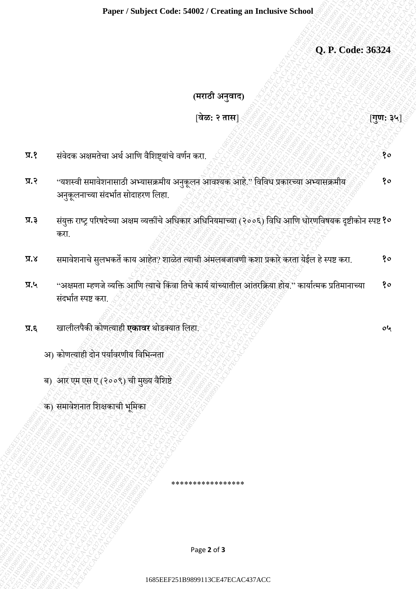**Q. P. Code: 36324**

 **(मराठी अनुवाद)**

## [**वेळ: २ तास**] [**गुण: ३५**]

- प्र.१ संवेदक अक्षमतेचा अर्थ आणि वैशिष्ट्यांचे वर्णन करा. २००६ २*००६ कर बाली कर कर कर कर कर कर क*र रहर
- 1685EEF251B9899113CE47ECAC437ACC1685EEF251B9899113CE47ECAC437ACC1685EEF251B9899113CE47ECAC437ACC1685EEF251B9899113CE47ECAC437ACC1685EEF251B9899113CE47ECAC437ACC1685EEF251B9899113CE47ECAC437ACC (are the system of the system of the system of the system of the system of the system of the system of the system of the system of the system of the system of the system of the system of the system of the system of the sy 16899113CE47ECAC437ACC1685EEF261B989113CE47ECAC437ACC2437ACC2437ACC2437ACC2437ACC2437ACC2437ACC2437ACC2437ACC2437ACC2437ACC2437ACC2437ACC2437ACC2437ACC2437ACC2437ACC2437ACC2437ACC2437ACC2437ACC2437ACC2437ACC2437ACC2437ACC2 Fagor / Subject Cades S4082 / Creating an inclusive School<br>
(1795: 9-17 Code: 36324<br>
(1795: 9-17 Code: 36324<br>
(1795: 9-17 Code: 36324<br>
(1795: 9-17 Code: 36324<br>
17.4 Circles acrescent and also after the main of the main of Puper / Subject Code: 54902 / Creating an Inclusive School<br>
(4785)<br>
(4785)<br>
(4785)<br>
(4786)<br>
(4789)<br>
(4786)<br>
(4789)<br>
(4789)<br>
(4789)<br>
(4789)<br>
(4789)<br>
(4789)<br>
(4789)<br>
(478999113CE47ECAC437ACC1687ACC16862EEF231B9899113CE47ECA Paper / Subject Crain: S4882 / Creating an Tachesive School<br>
(1785: 2491)<br>
(1785: 2491)<br>
1682: 249113C<br>
1784: Contract and Arthur Gibben 21 access Active Subject School (1889)<br>
1784: Contract and Activity of the Subject S Proper: Sentjert Code: E4802 / Creating an Includes School<br>
(1787) (2006 AGE434<br>
(1787) (2006 Age431 and only adopted and only and only and only and only and only and only and only and only a<br>
37.2 and an entirely and onl Paper / Sonbyet Cade: S4082 / Creating an Tuchusive School<br>
(1886)<br>
(1888)<br>
(1888)<br>
18.2 doing squadra and solicity disconneith sappear simplers.<br>
18.3 doing squadra and solicity disconneith sappear simplers.<br>
18.3 doing Paper / Sonbyet Cade: S4082 / Creating an Tuchusive School<br>
(1886)<br>
(1888)<br>
(1888)<br>
18.2 doing squadra and solicity disconneith sappear simplers.<br>
18.3 doing squadra and solicity disconneith sappear simplers.<br>
18.3 doing Paper / Sonbyet Cade: S4082 / Creating an Tuchusive School<br>
(1886)<br>
(1888)<br>
(1888)<br>
18.2 doing squadra and solicity disconneith sappear simplers.<br>
18.3 doing squadra and solicity disconneith sappear simplers.<br>
18.3 doing Paper / Sonbyet Cade: S4082 / Creating an Tuchusive School<br>
(1886)<br>
(1888)<br>
(1888)<br>
18.2 doing squadra and solicity disconneith sappear simplers.<br>
18.3 doing squadra and solicity disconneith sappear simplers.<br>
18.3 doing Figure / Studyer Code: 54802 / Creating an Inclusive School<br>
(1787. 2016. 36324<br>
(1787. 2016. 36324<br>
(1787. 2016. 36324<br>
1782. 2016. 3899113. and and the state of the state of the state of the state of the state of the st Paper / Subject Code: 54002 / Creating an Inclusive School<br>
(D. P. Code: 36324<br>
(POTS) segment<br>
(Sue, 2011)<br>
2.2<br>
1685 and the substitute of substitute of the substitute of the substitute of the substitute of the substitu 29per / Subject Coole: SHO27 Cevening an Inchesive School<br>
(P. P. Coole: 36324<br>
(Pres subsets of a of a first principal vertex one.<br>
27. The concentrate of a first principal vertex one.<br>
27. The concentrate of a first pri Paper / Subject Croke 54012 / Creating an Inclusive School<br>
(O. P. Croke: 36324<br>
(O. P. Croke: 36324<br>
(The system of Subject Area<br>
17.4 The system of Subject Area<br>
17.4 The system of the distribution of the system of the 1999173 (Subject Cracks 54002 / Creating an Inclusive Schnool<br>
1985: 1987<br>
1988: 1987<br>
1988: 1989<br>
1989: 1989<br>
1989: 1989 113 Center of Subject 1989<br>
1989: 1989: 1989<br>
1989: 1989: 1989: 1989: 1989: 1989: 1989: 1989: 1989 198912 / Nobiject Cadac 54802 / Creating an Inclusive School<br>
(O. P. Code: 3632<br>
(CAC437ACC)<br>
25.2<br>
25.2<br>
25.2<br>
25.2<br>
25.2<br>
25.2<br>
25.2<br>
25.2<br>
25.2<br>
25.2<br>
25.2<br>
25.2<br>
25.2<br>
25.2<br>
29.2<br>
29.2<br>
29.2<br>
29.2<br>
29.2<br>
29.2<br>
29.2<br>
2 Pipper / Subject Code: 54062 / Creating am Inclusive School<br>
(3. P. Code: 363<br>
(3. P. Code: 363<br>
(3. P. Code: 364<br>
3. Price attention of any official particle attack and increase set if finds statement portunants<br>are exp 1685EEF251B9899113CE47ECAC437ACC1685EEF251B9899113CE47ECAC437ACC1685EEF251B9899113CE47ECAC437ACC1685EEF251B9899113CE47ECAC437ACC1685EEF251B9899113CE47ECAC437ACC1685EEF251B9899113CE47ECAC437ACC Paper / Subject Code: 54002 / Creating an Inclusive School<br>
9. P. Code: 3<br>
(arrall superior)<br>
22.4 Accord and and also displayed only and any other and and any other and any other and also displayed and are also<br>
23.4 Acc **प्र.२** "यशस्वी समावेशनासाठी अभ्यासक्रमीय अनुकूलन आवश्यक आहे." विविध प्रकारच्या अभ्यासक्रमीय अनुकूलनाच्या संदर्भात सोदाहरण लिहा. **१०**
	- प्र.३ संयुक्त राष्ट्र परिषदेच्या अक्षम व्यक्तींचे अधिकार अधिनियमाच्या (२००६) विधि आणि धोरणविषयक दृष्टीकोन स्पष्ट **१०** करा.
	- **प्र.४** समावेिनाचेसलु र्कतेका् आहेत? िाळेत त््ाची अमं लबजाविी किा प्रकारे करता ्ेईल हेस्पष् करा. **१०**
	- **प्र.५** "अक्षमता म्हणजे व्यक्ति आणि त्याचे किंवा तिचे कार्य यांच्यातील आंतरक्रिया होय." कार्यात्मक प्रतिमानाच्या संदर्भात स्पष्ट करा. **१०**
	- **प्र.६** खालीलपैकी कोित््ाही **एकावर** र्ोडक््ात णलहा. **०५**
		- अ) कोणत्याही दोन पर्यावरणीय विभिन्नता
		- ब) आर एम एस ए (२००९) ची मुख्य वैशिष्टे
		- क) समावेशनात शिक्षकाची भूमिका

Page **2** of **3**

\*\*\*\*\*\*\*\*\*\*\*\*\*\*\*\*\*